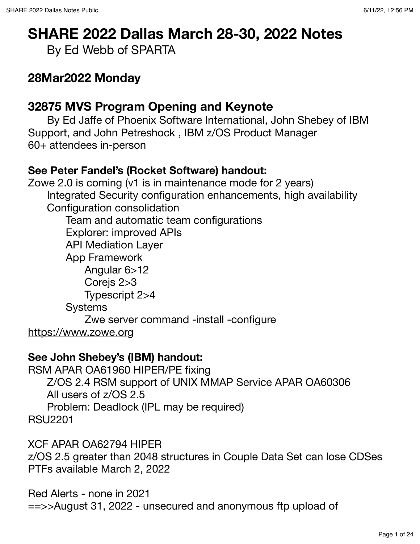# **SHARE 2022 Dallas March 28-30, 2022 Notes**

By Ed Webb of SPARTA

# **28Mar2022 Monday**

# **32875 MVS Program Opening and Keynote**

By Ed Jaffe of Phoenix Software International, John Shebey of IBM Support, and John Petreshock , IBM z/OS Product Manager 60+ attendees in-person

#### **See Peter Fandel's (Rocket Software) handout:**

Zowe 2.0 is coming (v1 is in maintenance mode for 2 years) Integrated Security configuration enhancements, high availability Configuration consolidation Team and automatic team configurations Explorer: improved APIs API Mediation Layer App Framework Angular 6>12 Corejs 2>3 Typescript 2>4 Systems Zwe server command -install -configure <https://www.zowe.org>

#### **See John Shebey's (IBM) handout:**

RSM APAR OA61960 HIPER/PE fixing Z/OS 2.4 RSM support of UNIX MMAP Service APAR OA60306 All users of z/OS 2.5 Problem: Deadlock (IPL may be required) RSU2201

XCF APAR OA62794 HIPER

z/OS 2.5 greater than 2048 structures in Couple Data Set can lose CDSes PTFs available March 2, 2022

Red Alerts - none in 2021 ==>>August 31, 2022 - unsecured and anonymous ftp upload of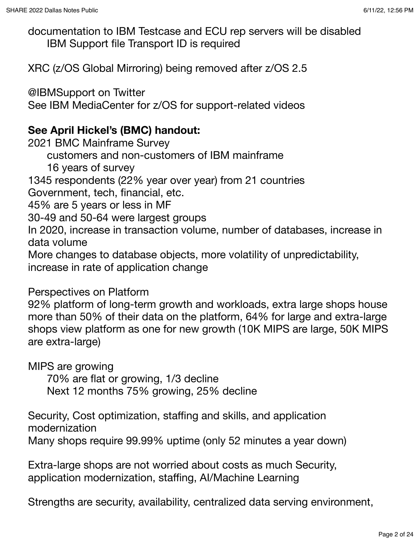documentation to IBM Testcase and ECU rep servers will be disabled IBM Support file Transport ID is required

XRC (z/OS Global Mirroring) being removed after z/OS 2.5

@IBMSupport on Twitter See IBM MediaCenter for z/OS for support-related videos

#### **See April Hickel's (BMC) handout:**

2021 BMC Mainframe Survey

customers and non-customers of IBM mainframe

16 years of survey

1345 respondents (22% year over year) from 21 countries

Government, tech, financial, etc.

45% are 5 years or less in MF

30-49 and 50-64 were largest groups

In 2020, increase in transaction volume, number of databases, increase in data volume

More changes to database objects, more volatility of unpredictability, increase in rate of application change

Perspectives on Platform

92% platform of long-term growth and workloads, extra large shops house more than 50% of their data on the platform, 64% for large and extra-large shops view platform as one for new growth (10K MIPS are large, 50K MIPS are extra-large)

MIPS are growing

70% are flat or growing, 1/3 decline

Next 12 months 75% growing, 25% decline

Security, Cost optimization, staffing and skills, and application modernization

Many shops require 99.99% uptime (only 52 minutes a year down)

Extra-large shops are not worried about costs as much Security, application modernization, staffing, AI/Machine Learning

Strengths are security, availability, centralized data serving environment,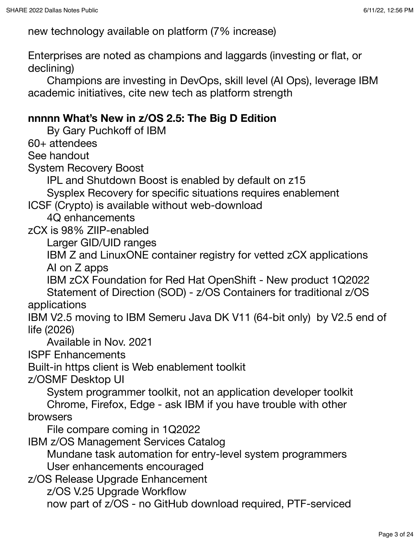new technology available on platform (7% increase)

Enterprises are noted as champions and laggards (investing or flat, or declining)

Champions are investing in DevOps, skill level (AI Ops), leverage IBM academic initiatives, cite new tech as platform strength

#### **nnnnn What's New in z/OS 2.5: The Big D Edition**

By Gary Puchkoff of IBM

60+ attendees

See handout

System Recovery Boost

IPL and Shutdown Boost is enabled by default on z15

Sysplex Recovery for specific situations requires enablement

ICSF (Crypto) is available without web-download

4Q enhancements

zCX is 98% ZIIP-enabled

Larger GID/UID ranges

IBM Z and LinuxONE container registry for vetted zCX applications AI on Z apps

IBM zCX Foundation for Red Hat OpenShift - New product 1Q2022 Statement of Direction (SOD) - z/OS Containers for traditional z/OS

applications

IBM V2.5 moving to IBM Semeru Java DK V11 (64-bit only) by V2.5 end of life (2026)

Available in Nov. 2021

ISPF Enhancements

Built-in https client is Web enablement toolkit

z/OSMF Desktop UI

System programmer toolkit, not an application developer toolkit Chrome, Firefox, Edge - ask IBM if you have trouble with other

browsers

File compare coming in 1Q2022

IBM z/OS Management Services Catalog

Mundane task automation for entry-level system programmers User enhancements encouraged

z/OS Release Upgrade Enhancement

z/OS V.25 Upgrade Workflow

now part of z/OS - no GitHub download required, PTF-serviced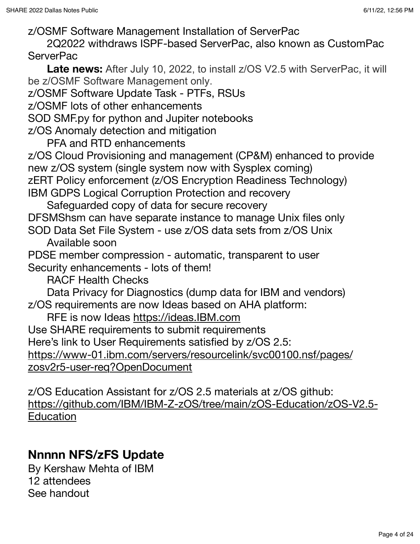z/OSMF Software Management Installation of ServerPac

2Q2022 withdraws ISPF-based ServerPac, also known as CustomPac **ServerPac** 

**Late news:** After July 10, 2022, to install z/OS V2.5 with ServerPac, it will be z/OSMF Software Management only.

z/OSMF Software Update Task - PTFs, RSUs

z/OSMF lots of other enhancements

SOD SMF.py for python and Jupiter notebooks

z/OS Anomaly detection and mitigation

PFA and RTD enhancements

z/OS Cloud Provisioning and management (CP&M) enhanced to provide new z/OS system (single system now with Sysplex coming) zERT Policy enforcement (z/OS Encryption Readiness Technology)

IBM GDPS Logical Corruption Protection and recovery

Safeguarded copy of data for secure recovery DFSMShsm can have separate instance to manage Unix files only SOD Data Set File System - use z/OS data sets from z/OS Unix

Available soon

PDSE member compression - automatic, transparent to user Security enhancements - lots of them!

RACF Health Checks

Data Privacy for Diagnostics (dump data for IBM and vendors) z/OS requirements are now Ideas based on AHA platform:

RFE is now Ideas<https://ideas.IBM.com>

Use SHARE requirements to submit requirements

Here's link to User Requirements satisfied by z/OS 2.5:

[https://www-01.ibm.com/servers/resourcelink/svc00100.nsf/pages/](https://www-01.ibm.com/servers/resourcelink/svc00100.nsf/pages/zosv2r5-user-req?OpenDocument) [zosv2r5-user-req?OpenDocument](https://www-01.ibm.com/servers/resourcelink/svc00100.nsf/pages/zosv2r5-user-req?OpenDocument)

z/OS Education Assistant for z/OS 2.5 materials at z/OS github: [https://github.com/IBM/IBM-Z-zOS/tree/main/zOS-Education/zOS-V2.5-](https://github.com/IBM/IBM-Z-zOS/tree/main/zOS-Education/zOS-V2.5-Education) **[Education](https://github.com/IBM/IBM-Z-zOS/tree/main/zOS-Education/zOS-V2.5-Education)** 

# **Nnnnn NFS/zFS Update**

By Kershaw Mehta of IBM 12 attendees See handout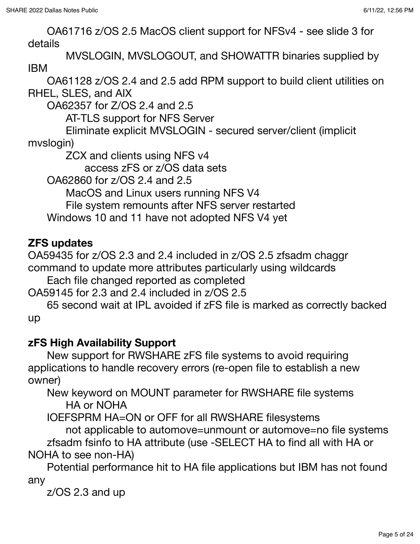OA61716 z/OS 2.5 MacOS client support for NFSv4 - see slide 3 for details

MVSLOGIN, MVSLOGOUT, and SHOWATTR binaries supplied by IBM

OA61128 z/OS 2.4 and 2.5 add RPM support to build client utilities on RHEL, SLES, and AIX

OA62357 for Z/OS 2.4 and 2.5

AT-TLS support for NFS Server

Eliminate explicit MVSLOGIN - secured server/client (implicit mvslogin)

ZCX and clients using NFS v4

access zFS or z/OS data sets

OA62860 for z/OS 2.4 and 2.5

MacOS and Linux users running NFS V4

File system remounts after NFS server restarted

Windows 10 and 11 have not adopted NFS V4 yet

#### **ZFS updates**

OA59435 for z/OS 2.3 and 2.4 included in z/OS 2.5 zfsadm chaggr command to update more attributes particularly using wildcards

Each file changed reported as completed

OA59145 for 2.3 and 2.4 included in z/OS 2.5

65 second wait at IPL avoided if zFS file is marked as correctly backed up

#### **zFS High Availability Support**

New support for RWSHARE zFS file systems to avoid requiring applications to handle recovery errors (re-open file to establish a new owner)

New keyword on MOUNT parameter for RWSHARE file systems HA or NOHA

IOEFSPRM HA=ON or OFF for all RWSHARE filesystems

not applicable to automove=unmount or automove=no file systems zfsadm fsinfo to HA attribute (use -SELECT HA to find all with HA or NOHA to see non-HA)

Potential performance hit to HA file applications but IBM has not found any

z/OS 2.3 and up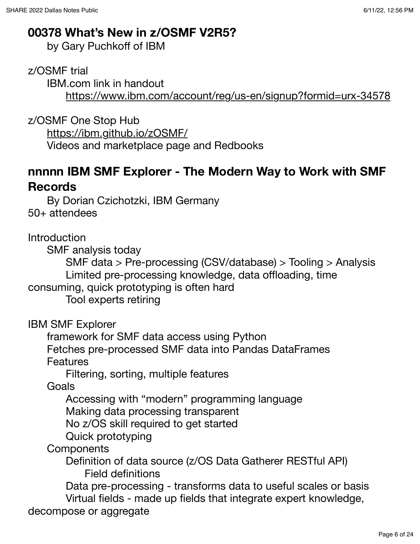# **00378 What's New in z/OSMF V2R5?**

by Gary Puchkoff of IBM

z/OSMF trial

IBM.com link in handout <https://www.ibm.com/account/reg/us-en/signup?formid=urx-34578>

z/OSMF One Stop Hub

<https://ibm.github.io/zOSMF/>

Videos and marketplace page and Redbooks

# **nnnnn IBM SMF Explorer - The Modern Way to Work with SMF Records**

By Dorian Czichotzki, IBM Germany 50+ attendees

Introduction

SMF analysis today

SMF data > Pre-processing (CSV/database) > Tooling > Analysis Limited pre-processing knowledge, data offloading, time

consuming, quick prototyping is often hard

Tool experts retiring

IBM SMF Explorer

framework for SMF data access using Python

Fetches pre-processed SMF data into Pandas DataFrames Features

Filtering, sorting, multiple features

Goals

Accessing with "modern" programming language

Making data processing transparent

No z/OS skill required to get started

Quick prototyping

**Components** 

Definition of data source (z/OS Data Gatherer RESTful API) Field definitions

Data pre-processing - transforms data to useful scales or basis Virtual fields - made up fields that integrate expert knowledge,

decompose or aggregate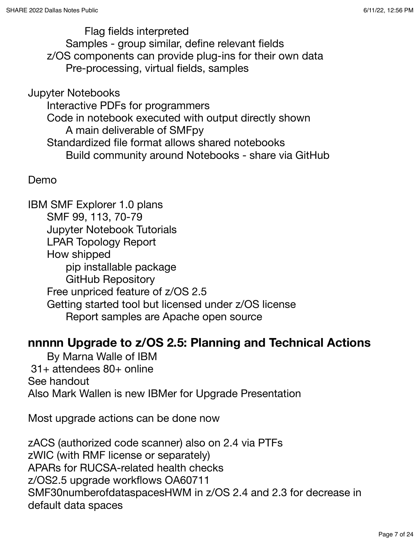Flag fields interpreted Samples - group similar, define relevant fields z/OS components can provide plug-ins for their own data Pre-processing, virtual fields, samples

Jupyter Notebooks Interactive PDFs for programmers Code in notebook executed with output directly shown A main deliverable of SMFpy Standardized file format allows shared notebooks Build community around Notebooks - share via GitHub

Demo

IBM SMF Explorer 1.0 plans SMF 99, 113, 70-79 Jupyter Notebook Tutorials LPAR Topology Report How shipped pip installable package GitHub Repository Free unpriced feature of z/OS 2.5 Getting started tool but licensed under z/OS license Report samples are Apache open source

### **nnnnn Upgrade to z/OS 2.5: Planning and Technical Actions**

By Marna Walle of IBM 31+ attendees 80+ online See handout Also Mark Wallen is new IBMer for Upgrade Presentation

Most upgrade actions can be done now

zACS (authorized code scanner) also on 2.4 via PTFs zWIC (with RMF license or separately) APARs for RUCSA-related health checks z/OS2.5 upgrade workflows OA60711 SMF30numberofdataspacesHWM in z/OS 2.4 and 2.3 for decrease in default data spaces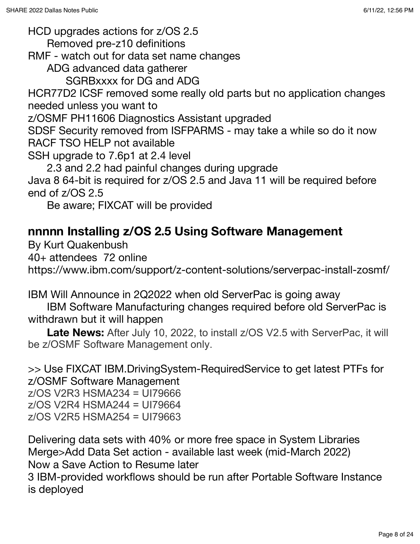HCD upgrades actions for z/OS 2.5

Removed pre-z10 definitions

RMF - watch out for data set name changes

ADG advanced data gatherer

SGRBxxxx for DG and ADG

HCR77D2 ICSF removed some really old parts but no application changes needed unless you want to

z/OSMF PH11606 Diagnostics Assistant upgraded

SDSF Security removed from ISFPARMS - may take a while so do it now RACF TSO HELP not available

SSH upgrade to 7.6p1 at 2.4 level

2.3 and 2.2 had painful changes during upgrade

Java 8 64-bit is required for z/OS 2.5 and Java 11 will be required before end of z/OS 2.5

Be aware; FIXCAT will be provided

# **nnnnn Installing z/OS 2.5 Using Software Management**

By Kurt Quakenbush

40+ attendees 72 online

https://www.ibm.com/support/z-content-solutions/serverpac-install-zosmf/

IBM Will Announce in 2Q2022 when old ServerPac is going away

IBM Software Manufacturing changes required before old ServerPac is withdrawn but it will happen

**Late News:** After July 10, 2022, to install z/OS V2.5 with ServerPac, it will be z/OSMF Software Management only.

>> Use FIXCAT IBM.DrivingSystem-RequiredService to get latest PTFs for z/OSMF Software Management z/OS V2R3 HSMA234 = UI79666 z/OS V2R4 HSMA244 = UI79664 z/OS V2R5 HSMA254 = UI79663

Delivering data sets with 40% or more free space in System Libraries Merge>Add Data Set action - available last week (mid-March 2022) Now a Save Action to Resume later

3 IBM-provided workflows should be run after Portable Software Instance is deployed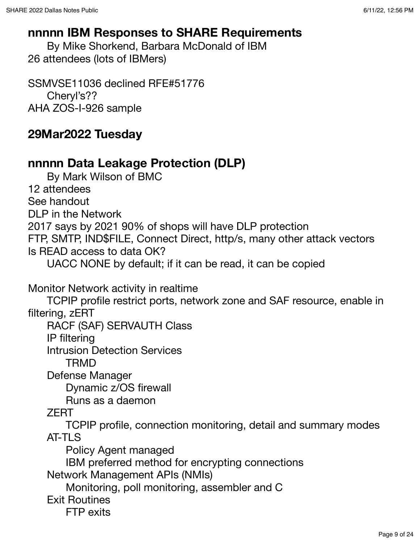#### **nnnnn IBM Responses to SHARE Requirements**

By Mike Shorkend, Barbara McDonald of IBM 26 attendees (lots of IBMers)

SSMVSE11036 declined RFE#51776 Cheryl's?? AHA ZOS-I-926 sample

# **29Mar2022 Tuesday**

### **nnnnn Data Leakage Protection (DLP)**

By Mark Wilson of BMC 12 attendees See handout DLP in the Network 2017 says by 2021 90% of shops will have DLP protection FTP, SMTP, IND\$FILE, Connect Direct, http/s, many other attack vectors Is READ access to data OK?

UACC NONE by default; if it can be read, it can be copied

Monitor Network activity in realtime

TCPIP profile restrict ports, network zone and SAF resource, enable in filtering, zERT

RACF (SAF) SERVAUTH Class

IP filtering

Intrusion Detection Services

TRMD

Defense Manager

Dynamic z/OS firewall

Runs as a daemon

ZERT

TCPIP profile, connection monitoring, detail and summary modes AT-TLS

Policy Agent managed

IBM preferred method for encrypting connections

Network Management APIs (NMIs)

Monitoring, poll monitoring, assembler and C

Exit Routines

FTP exits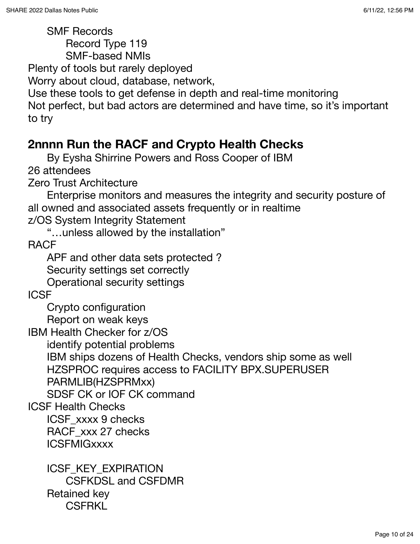SMF Records

Record Type 119

SMF-based NMIs

Plenty of tools but rarely deployed

Worry about cloud, database, network,

Use these tools to get defense in depth and real-time monitoring

Not perfect, but bad actors are determined and have time, so it's important to try

# **2nnnn Run the RACF and Crypto Health Checks**

By Eysha Shirrine Powers and Ross Cooper of IBM

26 attendees

Zero Trust Architecture

Enterprise monitors and measures the integrity and security posture of all owned and associated assets frequently or in realtime

z/OS System Integrity Statement

"…unless allowed by the installation"

RACF

APF and other data sets protected ? Security settings set correctly

Operational security settings

**ICSF** 

Crypto configuration

Report on weak keys

IBM Health Checker for z/OS

identify potential problems

IBM ships dozens of Health Checks, vendors ship some as well HZSPROC requires access to FACILITY BPX.SUPERUSER

PARMLIB(HZSPRMxx)

SDSF CK or IOF CK command

ICSF Health Checks

ICSF\_xxxx 9 checks RACF\_xxx 27 checks

**ICSFMIGxxxx** 

ICSF KEY EXPIRATION CSFKDSL and CSFDMR Retained key **CSFRKL**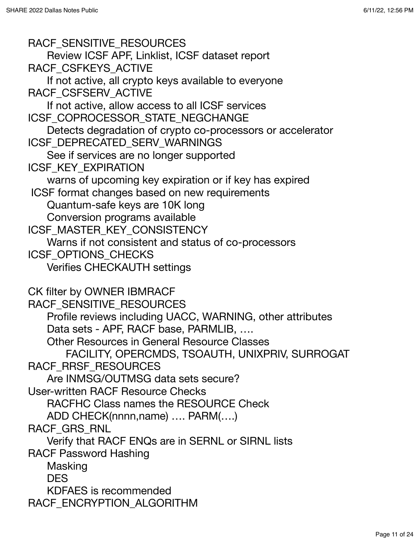RACF SENSITIVE RESOURCES Review ICSF APF, Linklist, ICSF dataset report RACF CSFKEYS ACTIVE If not active, all crypto keys available to everyone RACF CSFSERV ACTIVE If not active, allow access to all ICSF services ICSF\_COPROCESSOR\_STATE\_NEGCHANGE Detects degradation of crypto co-processors or accelerator ICSF\_DEPRECATED\_SERV\_WARNINGS See if services are no longer supported ICSF\_KEY\_EXPIRATION warns of upcoming key expiration or if key has expired ICSF format changes based on new requirements Quantum-safe keys are 10K long Conversion programs available ICSF\_MASTER\_KEY\_CONSISTENCY Warns if not consistent and status of co-processors ICSF\_OPTIONS\_CHECKS Verifies CHECKAUTH settings CK filter by OWNER IBMRACF RACF\_SENSITIVE\_RESOURCES Profile reviews including UACC, WARNING, other attributes Data sets - APF, RACF base, PARMLIB, …. Other Resources in General Resource Classes FACILITY, OPERCMDS, TSOAUTH, UNIXPRIV, SURROGAT RACF\_RRSF\_RESOURCES Are INMSG/OUTMSG data sets secure? User-written RACF Resource Checks RACFHC Class names the RESOURCE Check ADD CHECK(nnnn,name) …. PARM(….) RACF GRS RNL Verify that RACF ENQs are in SERNL or SIRNL lists RACF Password Hashing Masking DES KDFAES is recommended RACF\_ENCRYPTION\_ALGORITHM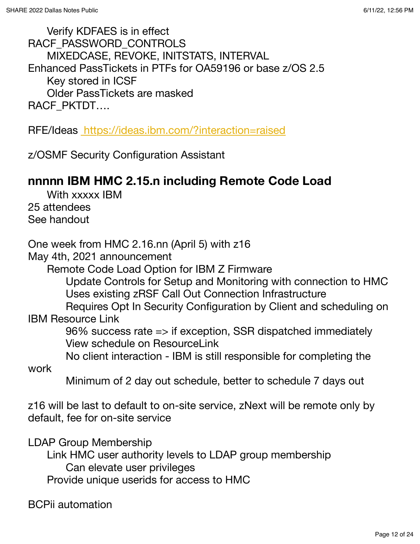Verify KDFAES is in effect RACF\_PASSWORD\_CONTROLS MIXEDCASE, REVOKE, INITSTATS, INTERVAL Enhanced PassTickets in PTFs for OA59196 or base z/OS 2.5 Key stored in ICSF Older PassTickets are masked RACF\_PKTDT….

RFE/Ideas <https://ideas.ibm.com/?interaction=raised>

z/OSMF Security Configuration Assistant

# **nnnnn IBM HMC 2.15.n including Remote Code Load**

With xxxxx IBM 25 attendees See handout

One week from HMC 2.16.nn (April 5) with z16

May 4th, 2021 announcement

Remote Code Load Option for IBM Z Firmware

Update Controls for Setup and Monitoring with connection to HMC Uses existing zRSF Call Out Connection Infrastructure

Requires Opt In Security Configuration by Client and scheduling on IBM Resource Link

96% success rate => if exception, SSR dispatched immediately View schedule on ResourceLink

No client interaction - IBM is still responsible for completing the

work

Minimum of 2 day out schedule, better to schedule 7 days out

z16 will be last to default to on-site service, zNext will be remote only by default, fee for on-site service

LDAP Group Membership

Link HMC user authority levels to LDAP group membership Can elevate user privileges Provide unique userids for access to HMC

BCPii automation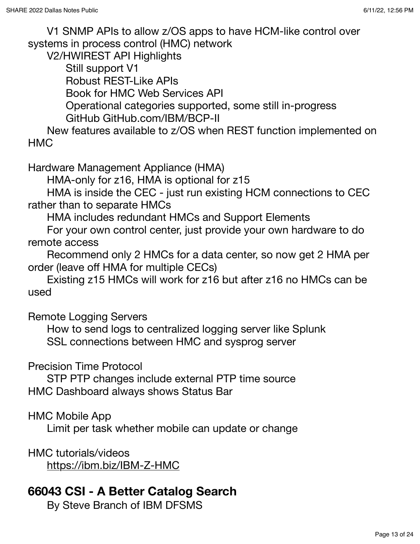V1 SNMP APIs to allow z/OS apps to have HCM-like control over systems in process control (HMC) network

V2/HWIREST API Highlights

Still support V1

Robust REST-Like APIs

Book for HMC Web Services API

Operational categories supported, some still in-progress GitHub GitHub.com/IBM/BCP-II

New features available to z/OS when REST function implemented on HMC

Hardware Management Appliance (HMA)

HMA-only for z16, HMA is optional for z15

HMA is inside the CEC - just run existing HCM connections to CEC rather than to separate HMCs

HMA includes redundant HMCs and Support Elements

For your own control center, just provide your own hardware to do remote access

Recommend only 2 HMCs for a data center, so now get 2 HMA per order (leave off HMA for multiple CECs)

Existing z15 HMCs will work for z16 but after z16 no HMCs can be used

Remote Logging Servers

How to send logs to centralized logging server like Splunk SSL connections between HMC and sysprog server

Precision Time Protocol

STP PTP changes include external PTP time source HMC Dashboard always shows Status Bar

HMC Mobile App

Limit per task whether mobile can update or change

HMC tutorials/videos <https://ibm.biz/IBM-Z-HMC>

# **66043 CSI - A Better Catalog Search**

By Steve Branch of IBM DFSMS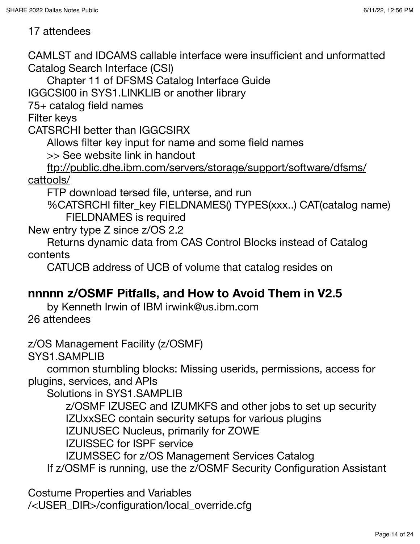#### 17 attendees

CAMLST and IDCAMS callable interface were insufficient and unformatted Catalog Search Interface (CSI)

Chapter 11 of DFSMS Catalog Interface Guide

IGGCSI00 in SYS1.LINKLIB or another library

75+ catalog field names

Filter keys

CATSRCHI better than IGGCSIRX

Allows filter key input for name and some field names

>> See website link in handout

ftp://public.dhe.ibm.com/servers/storage/support/software/dfsms/ cattools/

FTP download tersed file, unterse, and run

%CATSRCHI filter\_key FIELDNAMES() TYPES(xxx..) CAT(catalog name) FIELDNAMES is required

New entry type Z since z/OS 2.2

Returns dynamic data from CAS Control Blocks instead of Catalog contents

CATUCB address of UCB of volume that catalog resides on

# **nnnnn z/OSMF Pitfalls, and How to Avoid Them in V2.5**

by Kenneth Irwin of IBM irwink@us.ibm.com 26 attendees

z/OS Management Facility (z/OSMF)

SYS1.SAMPLIB

common stumbling blocks: Missing userids, permissions, access for plugins, services, and APIs

Solutions in SYS1.SAMPLIB

z/OSMF IZUSEC and IZUMKFS and other jobs to set up security

IZUxxSEC contain security setups for various plugins

IZUNUSEC Nucleus, primarily for ZOWE

IZUISSEC for ISPF service

IZUMSSEC for z/OS Management Services Catalog

If z/OSMF is running, use the z/OSMF Security Configuration Assistant

Costume Properties and Variables /<USER\_DIR>/configuration/local\_override.cfg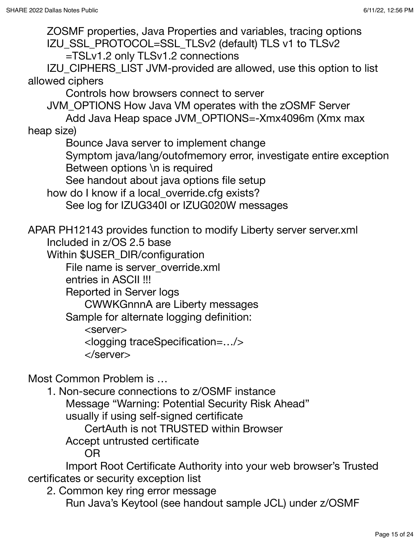ZOSMF properties, Java Properties and variables, tracing options IZU\_SSL\_PROTOCOL=SSL\_TLSv2 (default) TLS v1 to TLSv2 =TSLv1.2 only TLSv1.2 connections IZU CIPHERS LIST JVM-provided are allowed, use this option to list allowed ciphers Controls how browsers connect to server JVM\_OPTIONS How Java VM operates with the zOSMF Server Add Java Heap space JVM\_OPTIONS=-Xmx4096m (Xmx max heap size) Bounce Java server to implement change Symptom java/lang/outofmemory error, investigate entire exception Between options \n is required See handout about java options file setup how do I know if a local override.cfg exists? See log for IZUG340I or IZUG020W messages APAR PH12143 provides function to modify Liberty server server.xml Included in z/OS 2.5 base Within \$USER\_DIR/configuration File name is server\_override.xml entries in ASCII !!! Reported in Server logs CWWKGnnnA are Liberty messages Sample for alternate logging definition: <server> <logging traceSpecification=…/> </server> Most Common Problem is … 1. Non-secure connections to z/OSMF instance Message "Warning: Potential Security Risk Ahead" usually if using self-signed certificate CertAuth is not TRUSTED within Browser Accept untrusted certificate OR Import Root Certificate Authority into your web browser's Trusted certificates or security exception list

2. Common key ring error message Run Java's Keytool (see handout sample JCL) under z/OSMF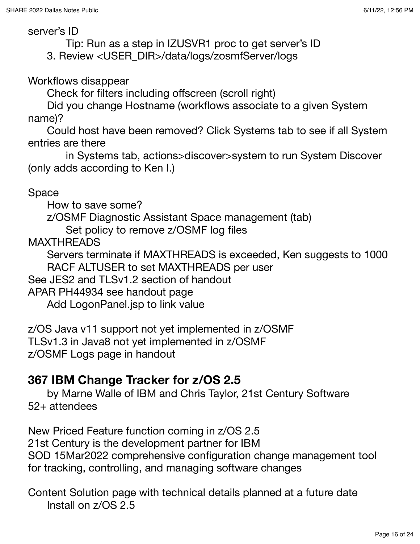#### server's ID

Tip: Run as a step in IZUSVR1 proc to get server's ID 3. Review <USER\_DIR>/data/logs/zosmfServer/logs

#### Workflows disappear

Check for filters including offscreen (scroll right)

Did you change Hostname (workflows associate to a given System name)?

Could host have been removed? Click Systems tab to see if all System entries are there

in Systems tab, actions>discover>system to run System Discover (only adds according to Ken I.)

#### Space

How to save some?

z/OSMF Diagnostic Assistant Space management (tab)

Set policy to remove z/OSMF log files

MAXTHREADS

Servers terminate if MAXTHREADS is exceeded, Ken suggests to 1000 RACF ALTUSER to set MAXTHREADS per user

See JES2 and TLSv1.2 section of handout

APAR PH44934 see handout page

Add LogonPanel.jsp to link value

z/OS Java v11 support not yet implemented in z/OSMF TLSv1.3 in Java8 not yet implemented in z/OSMF z/OSMF Logs page in handout

# **367 IBM Change Tracker for z/OS 2.5**

by Marne Walle of IBM and Chris Taylor, 21st Century Software 52+ attendees

New Priced Feature function coming in z/OS 2.5 21st Century is the development partner for IBM SOD 15Mar2022 comprehensive configuration change management tool for tracking, controlling, and managing software changes

Content Solution page with technical details planned at a future date Install on z/OS 2.5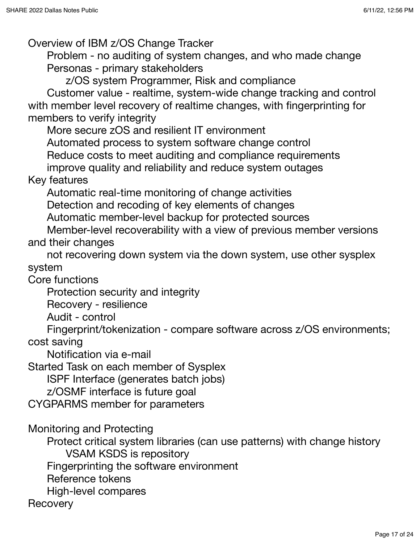Overview of IBM z/OS Change Tracker

Problem - no auditing of system changes, and who made change Personas - primary stakeholders

z/OS system Programmer, Risk and compliance

Customer value - realtime, system-wide change tracking and control with member level recovery of realtime changes, with fingerprinting for members to verify integrity

More secure zOS and resilient IT environment

Automated process to system software change control

Reduce costs to meet auditing and compliance requirements

improve quality and reliability and reduce system outages

#### Key features

Automatic real-time monitoring of change activities Detection and recoding of key elements of changes Automatic member-level backup for protected sources

Member-level recoverability with a view of previous member versions and their changes

not recovering down system via the down system, use other sysplex system

Core functions

Protection security and integrity

Recovery - resilience

Audit - control

Fingerprint/tokenization - compare software across z/OS environments; cost saving

Notification via e-mail

Started Task on each member of Sysplex

ISPF Interface (generates batch jobs)

z/OSMF interface is future goal

CYGPARMS member for parameters

Monitoring and Protecting

Protect critical system libraries (can use patterns) with change history VSAM KSDS is repository

Fingerprinting the software environment

Reference tokens

High-level compares

**Recovery**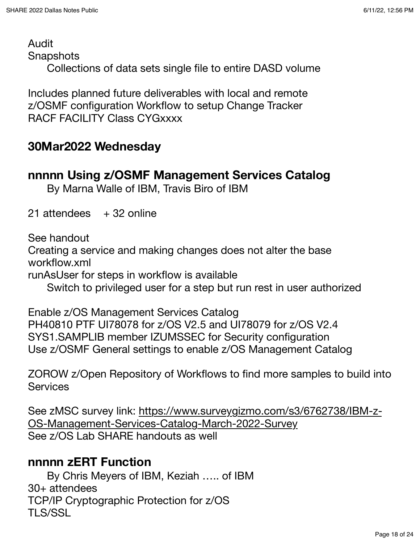Audit

**Snapshots** 

Collections of data sets single file to entire DASD volume

Includes planned future deliverables with local and remote z/OSMF configuration Workflow to setup Change Tracker RACF FACILITY Class CYGxxxx

### **30Mar2022 Wednesday**

#### **nnnnn Using z/OSMF Management Services Catalog**

By Marna Walle of IBM, Travis Biro of IBM

21 attendees  $+32$  online

See handout

Creating a service and making changes does not alter the base workflow.xml

runAsUser for steps in workflow is available

Switch to privileged user for a step but run rest in user authorized

Enable z/OS Management Services Catalog PH40810 PTF UI78078 for z/OS V2.5 and UI78079 for z/OS V2.4 SYS1.SAMPLIB member IZUMSSEC for Security configuration Use z/OSMF General settings to enable z/OS Management Catalog

ZOROW z/Open Repository of Workflows to find more samples to build into **Services** 

See zMSC survey link: [https://www.surveygizmo.com/s3/6762738/IBM-z-](https://www.surveygizmo.com/s3/6762738/IBM-z-OS-Management-Services-Catalog-March-2022-Survey)[OS-Management-Services-Catalog-March-2022-Survey](https://www.surveygizmo.com/s3/6762738/IBM-z-OS-Management-Services-Catalog-March-2022-Survey) See z/OS Lab SHARE handouts as well

### **nnnnn zERT Function**

By Chris Meyers of IBM, Keziah ….. of IBM 30+ attendees TCP/IP Cryptographic Protection for z/OS TLS/SSL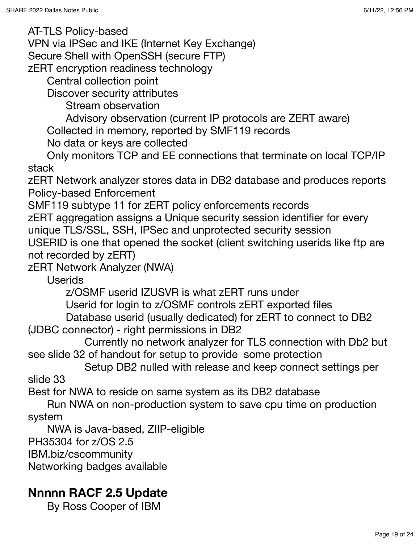AT-TLS Policy-based

VPN via IPSec and IKE (Internet Key Exchange)

Secure Shell with OpenSSH (secure FTP)

zERT encryption readiness technology

Central collection point

Discover security attributes

Stream observation

Advisory observation (current IP protocols are ZERT aware)

Collected in memory, reported by SMF119 records

No data or keys are collected

Only monitors TCP and EE connections that terminate on local TCP/IP stack

zERT Network analyzer stores data in DB2 database and produces reports Policy-based Enforcement

SMF119 subtype 11 for zERT policy enforcements records

zERT aggregation assigns a Unique security session identifier for every unique TLS/SSL, SSH, IPSec and unprotected security session USERID is one that opened the socket (client switching userids like ftp are

not recorded by zERT)

zERT Network Analyzer (NWA)

Userids

z/OSMF userid IZUSVR is what zERT runs under

Userid for login to z/OSMF controls zERT exported files

Database userid (usually dedicated) for zERT to connect to DB2 (JDBC connector) - right permissions in DB2

Currently no network analyzer for TLS connection with Db2 but see slide 32 of handout for setup to provide some protection

Setup DB2 nulled with release and keep connect settings per slide 33

Best for NWA to reside on same system as its DB2 database

Run NWA on non-production system to save cpu time on production system

NWA is Java-based, ZIIP-eligible

PH35304 for z/OS 2.5

IBM.biz/cscommunity

Networking badges available

# **Nnnnn RACF 2.5 Update**

By Ross Cooper of IBM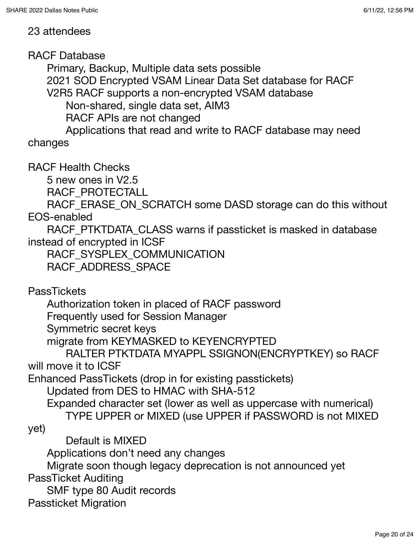#### 23 attendees

RACF Database

Primary, Backup, Multiple data sets possible 2021 SOD Encrypted VSAM Linear Data Set database for RACF V2R5 RACF supports a non-encrypted VSAM database

Non-shared, single data set, AIM3

RACF APIs are not changed

Applications that read and write to RACF database may need changes

RACF Health Checks

5 new ones in V2.5

RACF\_PROTECTALL

RACF\_ERASE\_ON\_SCRATCH some DASD storage can do this without EOS-enabled

RACF\_PTKTDATA\_CLASS warns if passticket is masked in database instead of encrypted in ICSF

RACF\_SYSPLEX\_COMMUNICATION

RACF\_ADDRESS\_SPACE

**PassTickets** 

Authorization token in placed of RACF password

Frequently used for Session Manager

Symmetric secret keys

migrate from KEYMASKED to KEYENCRYPTED

RALTER PTKTDATA MYAPPL SSIGNON(ENCRYPTKEY) so RACF will move it to ICSF

Enhanced PassTickets (drop in for existing passtickets)

Updated from DES to HMAC with SHA-512

Expanded character set (lower as well as uppercase with numerical) TYPE UPPER or MIXED (use UPPER if PASSWORD is not MIXED

yet)

Default is MIXED

Applications don't need any changes

Migrate soon though legacy deprecation is not announced yet PassTicket Auditing

SMF type 80 Audit records

Passticket Migration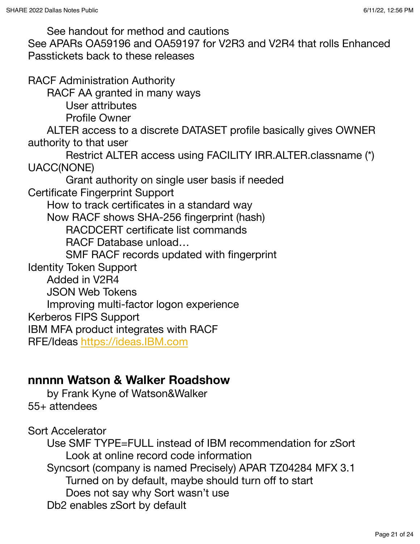See handout for method and cautions See APARs OA59196 and OA59197 for V2R3 and V2R4 that rolls Enhanced Passtickets back to these releases RACF Administration Authority RACF AA granted in many ways User attributes Profile Owner ALTER access to a discrete DATASET profile basically gives OWNER authority to that user Restrict ALTER access using FACILITY IRR.ALTER.classname (\*) UACC(NONE) Grant authority on single user basis if needed Certificate Fingerprint Support How to track certificates in a standard way Now RACF shows SHA-256 fingerprint (hash) RACDCERT certificate list commands RACF Database unload… SMF RACF records updated with fingerprint Identity Token Support Added in V2R4 JSON Web Tokens Improving multi-factor logon experience Kerberos FIPS Support IBM MFA product integrates with RACF RFE/Ideas <https://ideas.IBM.com>

### **nnnnn Watson & Walker Roadshow**

by Frank Kyne of Watson&Walker 55+ attendees

Sort Accelerator

Use SMF TYPE=FULL instead of IBM recommendation for zSort Look at online record code information Syncsort (company is named Precisely) APAR TZ04284 MFX 3.1 Turned on by default, maybe should turn off to start Does not say why Sort wasn't use Db2 enables zSort by default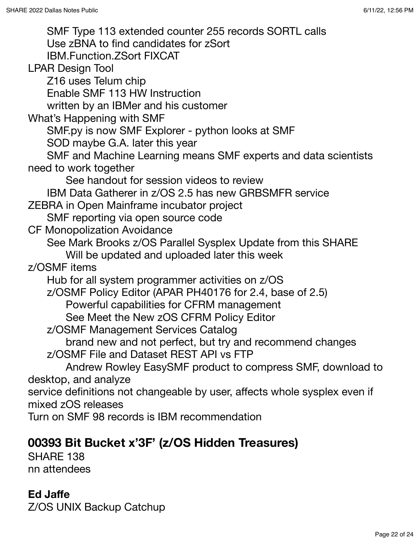SMF Type 113 extended counter 255 records SORTL calls Use zBNA to find candidates for zSort IBM.Function.ZSort FIXCAT LPAR Design Tool Z16 uses Telum chip Enable SMF 113 HW Instruction written by an IBMer and his customer What's Happening with SMF SMF.py is now SMF Explorer - python looks at SMF SOD maybe G.A. later this year SMF and Machine Learning means SMF experts and data scientists need to work together See handout for session videos to review IBM Data Gatherer in z/OS 2.5 has new GRBSMFR service ZEBRA in Open Mainframe incubator project SMF reporting via open source code CF Monopolization Avoidance See Mark Brooks z/OS Parallel Sysplex Update from this SHARE Will be updated and uploaded later this week z/OSMF items Hub for all system programmer activities on z/OS z/OSMF Policy Editor (APAR PH40176 for 2.4, base of 2.5) Powerful capabilities for CFRM management See Meet the New zOS CFRM Policy Editor z/OSMF Management Services Catalog brand new and not perfect, but try and recommend changes z/OSMF File and Dataset REST API vs FTP Andrew Rowley EasySMF product to compress SMF, download to desktop, and analyze service definitions not changeable by user, affects whole sysplex even if mixed zOS releases Turn on SMF 98 records is IBM recommendation

# **00393 Bit Bucket x'3F' (z/OS Hidden Treasures)**

SHARE 138 nn attendees

### **Ed Jaffe**

Z/OS UNIX Backup Catchup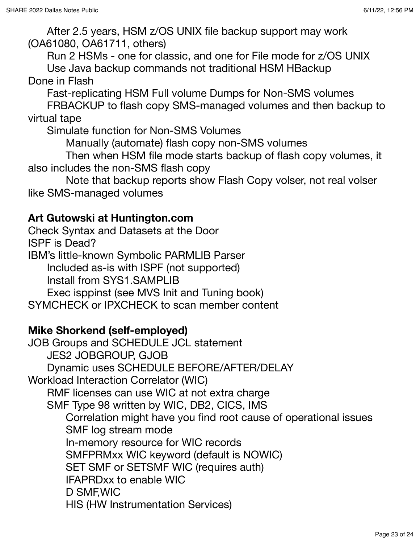After 2.5 years, HSM z/OS UNIX file backup support may work (OA61080, OA61711, others)

Run 2 HSMs - one for classic, and one for File mode for z/OS UNIX Use Java backup commands not traditional HSM HBackup Done in Flash

Fast-replicating HSM Full volume Dumps for Non-SMS volumes

FRBACKUP to flash copy SMS-managed volumes and then backup to virtual tape

Simulate function for Non-SMS Volumes

Manually (automate) flash copy non-SMS volumes

Then when HSM file mode starts backup of flash copy volumes, it also includes the non-SMS flash copy

Note that backup reports show Flash Copy volser, not real volser like SMS-managed volumes

#### **Art Gutowski at Huntington.com**

Check Syntax and Datasets at the Door

ISPF is Dead?

IBM's little-known Symbolic PARMLIB Parser

Included as-is with ISPF (not supported)

Install from SYS1.SAMPLIB

Exec isppinst (see MVS Init and Tuning book)

SYMCHECK or IPXCHECK to scan member content

#### **Mike Shorkend (self-employed)**

JOB Groups and SCHEDULE JCL statement JES2 JOBGROUP, GJOB Dynamic uses SCHEDULE BEFORE/AFTER/DELAY Workload Interaction Correlator (WIC) RMF licenses can use WIC at not extra charge SMF Type 98 written by WIC, DB2, CICS, IMS Correlation might have you find root cause of operational issues SMF log stream mode In-memory resource for WIC records SMFPRMxx WIC keyword (default is NOWIC) SET SMF or SETSMF WIC (requires auth) IFAPRDxx to enable WIC D SMF,WIC HIS (HW Instrumentation Services)